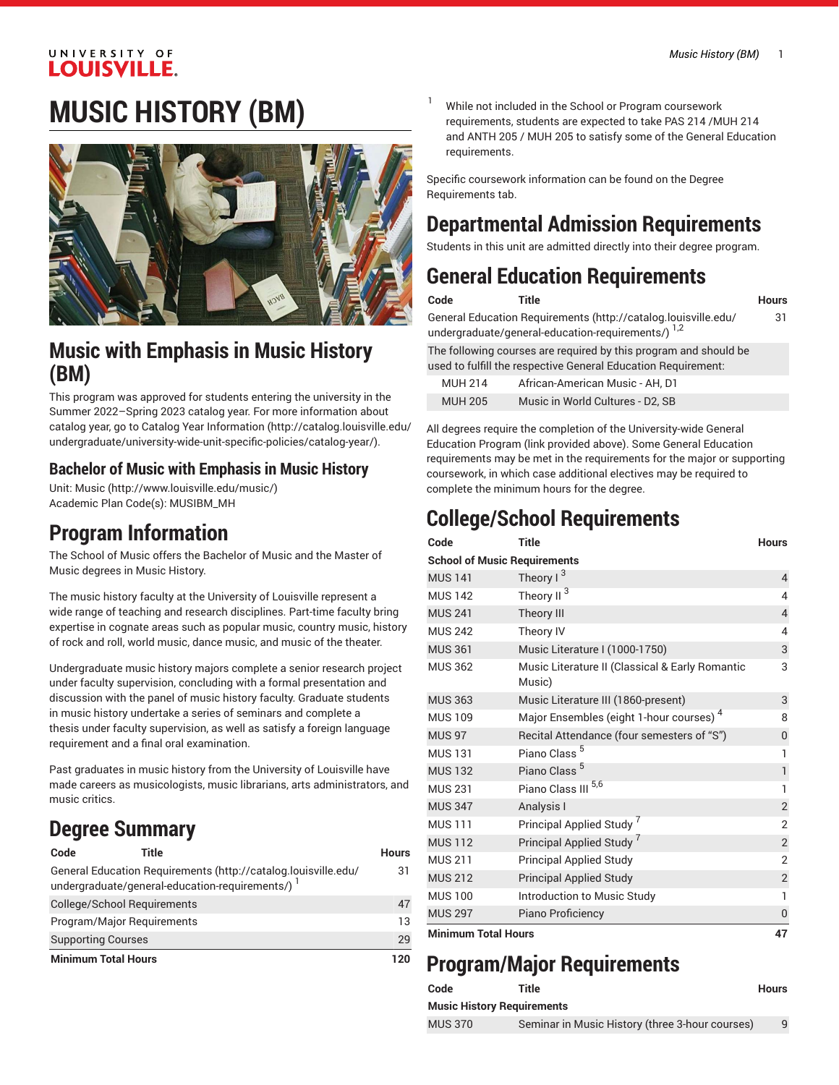#### UNIVERSITY OF **LOUISVILLE.**

# **MUSIC HISTORY (BM)**



### **Music with Emphasis in Music History (BM)**

This program was approved for students entering the university in the Summer 2022–Spring 2023 catalog year. For more information about catalog year, go to Catalog Year [Information](http://catalog.louisville.edu/undergraduate/university-wide-unit-specific-policies/catalog-year/) ([http://catalog.louisville.edu/](http://catalog.louisville.edu/undergraduate/university-wide-unit-specific-policies/catalog-year/) [undergraduate/university-wide-unit-specific-policies/catalog-year/](http://catalog.louisville.edu/undergraduate/university-wide-unit-specific-policies/catalog-year/)).

### **Bachelor of Music with Emphasis in Music History**

Unit: [Music \(http://www.louisville.edu/music/](http://www.louisville.edu/music/)) Academic Plan Code(s): MUSIBM\_MH

### **Program Information**

The School of Music offers the Bachelor of Music and the Master of Music degrees in Music History.

The music history faculty at the University of Louisville represent a wide range of teaching and research disciplines. Part-time faculty bring expertise in cognate areas such as popular music, country music, history of rock and roll, world music, dance music, and music of the theater.

Undergraduate music history majors complete a senior research project under faculty supervision, concluding with a formal presentation and discussion with the panel of music history faculty. Graduate students in music history undertake a series of seminars and complete a thesis under faculty supervision, as well as satisfy a foreign language requirement and a final oral examination.

Past graduates in music history from the University of Louisville have made careers as musicologists, music librarians, arts administrators, and music critics.

## **Degree Summary**

| Code                               | Title                                                                                                            | Hours |
|------------------------------------|------------------------------------------------------------------------------------------------------------------|-------|
|                                    | General Education Requirements (http://catalog.louisville.edu/<br>undergraduate/general-education-requirements/) | 31    |
| <b>College/School Requirements</b> |                                                                                                                  | 47    |
| Program/Major Reguirements         |                                                                                                                  | 13    |
| <b>Supporting Courses</b>          |                                                                                                                  | 29    |
| <b>Minimum Total Hours</b>         |                                                                                                                  | 120   |

While not included in the School or Program coursework requirements, students are expected to take PAS 214 /MUH 214 and ANTH 205 / MUH 205 to satisfy some of the General Education requirements.

Specific coursework information can be found on the Degree Requirements tab.

## **Departmental Admission Requirements**

Students in this unit are admitted directly into their degree program.

### **General Education Requirements**

| Code | <b>Title</b> | Hours |
|------|--------------|-------|
|      |              |       |

31

General Education [Requirements](http://catalog.louisville.edu/undergraduate/general-education-requirements/) ([http://catalog.louisville.edu/](http://catalog.louisville.edu/undergraduate/general-education-requirements/) [undergraduate/general-education-requirements/](http://catalog.louisville.edu/undergraduate/general-education-requirements/))  $^{1,2}$ The following courses are required by this program and should be

used to fulfill the respective General Education Requirement:

| <b>MUH 214</b> | African-American Music - AH, D1  |
|----------------|----------------------------------|
| <b>MUH 205</b> | Music in World Cultures - D2, SB |

All degrees require the completion of the University-wide General Education Program (link provided above). Some General Education requirements may be met in the requirements for the major or supporting coursework, in which case additional electives may be required to complete the minimum hours for the degree.

## **College/School Requirements**

| Code                                | <b>Title</b>                                              | <b>Hours</b>   |
|-------------------------------------|-----------------------------------------------------------|----------------|
| <b>School of Music Requirements</b> |                                                           |                |
| <b>MUS 141</b>                      | Theory $1^3$                                              | $\overline{4}$ |
| <b>MUS 142</b>                      | 3<br>Theory II                                            | 4              |
| <b>MUS 241</b>                      | Theory III                                                | $\overline{4}$ |
| <b>MUS 242</b>                      | Theory IV                                                 | 4              |
| <b>MUS 361</b>                      | Music Literature I (1000-1750)                            | 3              |
| <b>MUS 362</b>                      | Music Literature II (Classical & Early Romantic<br>Music) | 3              |
| <b>MUS 363</b>                      | Music Literature III (1860-present)                       | 3              |
| <b>MUS 109</b>                      | Major Ensembles (eight 1-hour courses) <sup>4</sup>       | 8              |
| <b>MUS 97</b>                       | Recital Attendance (four semesters of "S")                | $\mathbf 0$    |
| <b>MUS 131</b>                      | Piano Class <sup>5</sup>                                  | $\overline{1}$ |
| <b>MUS 132</b>                      | Piano Class <sup>5</sup>                                  | $\mathbf{1}$   |
| <b>MUS 231</b>                      | 5,6<br>Piano Class III                                    | 1              |
| <b>MUS 347</b>                      | Analysis I                                                | $\overline{2}$ |
| <b>MUS 111</b>                      | Principal Applied Study '                                 | $\overline{2}$ |
| <b>MUS 112</b>                      | Principal Applied Study                                   | $\overline{2}$ |
| <b>MUS 211</b>                      | <b>Principal Applied Study</b>                            | $\overline{2}$ |
| <b>MUS 212</b>                      | <b>Principal Applied Study</b>                            | $\overline{c}$ |
| <b>MUS 100</b>                      | Introduction to Music Study                               | 1              |
| <b>MUS 297</b>                      | Piano Proficiency                                         | $\overline{0}$ |
| Minimum Total Houre                 |                                                           | 47             |

**Minimum Total Hours 47**

## **Program/Major Requirements**

| Code           | Title<br>Music History Requirements             | <b>Hours</b> |  |
|----------------|-------------------------------------------------|--------------|--|
|                |                                                 |              |  |
| <b>MUS 370</b> | Seminar in Music History (three 3-hour courses) |              |  |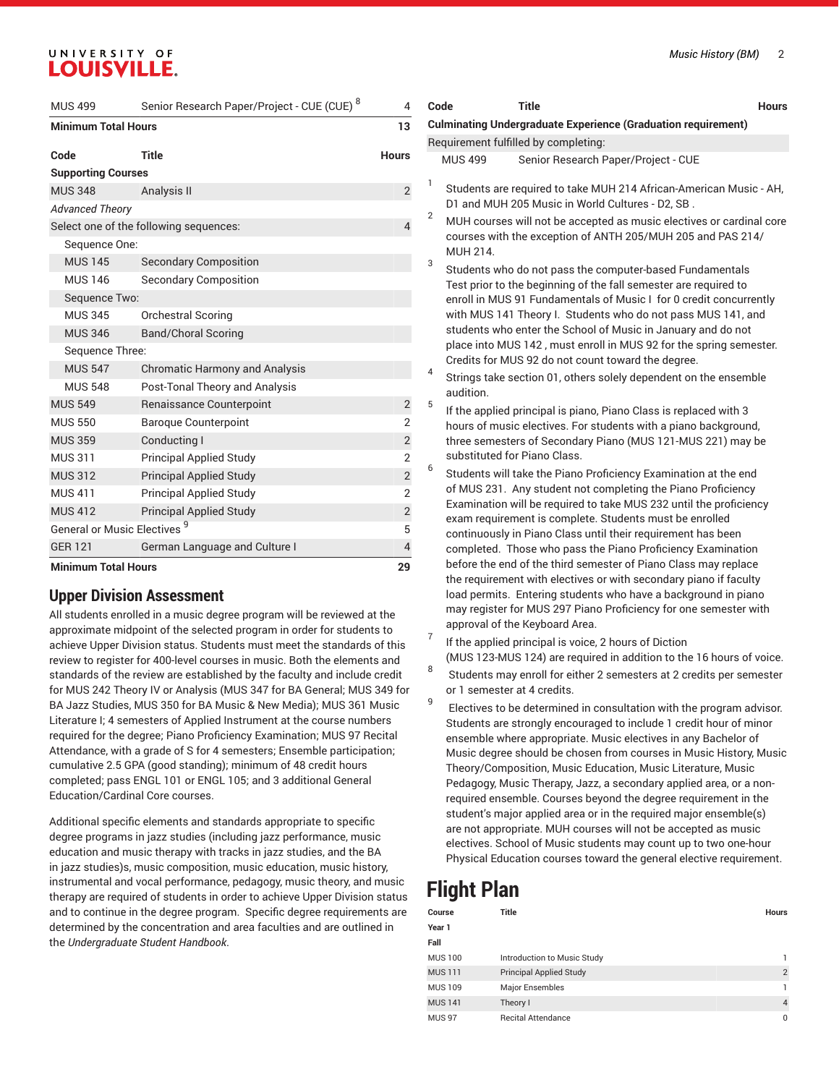### UNIVERSITY OF **LOUISVILLE.**

| <b>MUS 499</b>                          | Senior Research Paper/Project - CUE (CUE) 8 | 4              |
|-----------------------------------------|---------------------------------------------|----------------|
| <b>Minimum Total Hours</b>              |                                             | 13             |
| Code                                    | Title                                       | <b>Hours</b>   |
| <b>Supporting Courses</b>               |                                             |                |
| <b>MUS 348</b>                          | Analysis II                                 | $\overline{2}$ |
| <b>Advanced Theory</b>                  |                                             |                |
|                                         | Select one of the following sequences:      | $\overline{4}$ |
| Sequence One:                           |                                             |                |
| <b>MUS 145</b>                          | <b>Secondary Composition</b>                |                |
| <b>MUS 146</b>                          | <b>Secondary Composition</b>                |                |
| Sequence Two:                           |                                             |                |
| <b>MUS 345</b>                          | <b>Orchestral Scoring</b>                   |                |
| <b>MUS 346</b>                          | <b>Band/Choral Scoring</b>                  |                |
| Sequence Three:                         |                                             |                |
| <b>MUS 547</b>                          | <b>Chromatic Harmony and Analysis</b>       |                |
| <b>MUS 548</b>                          | Post-Tonal Theory and Analysis              |                |
| <b>MUS 549</b>                          | Renaissance Counterpoint                    | 2              |
| <b>MUS 550</b>                          | <b>Baroque Counterpoint</b>                 | $\overline{2}$ |
| <b>MUS 359</b>                          | Conducting I                                | $\overline{2}$ |
| <b>MUS 311</b>                          | <b>Principal Applied Study</b>              | $\overline{2}$ |
| <b>MUS 312</b>                          | <b>Principal Applied Study</b>              | $\overline{2}$ |
| <b>MUS 411</b>                          | <b>Principal Applied Study</b>              | $\overline{2}$ |
| <b>MUS 412</b>                          | <b>Principal Applied Study</b>              | $\mathbf{2}$   |
| General or Music Electives <sup>9</sup> |                                             | 5              |
| <b>GER 121</b>                          | German Language and Culture I               | $\overline{4}$ |
| <b>Minimum Total Hours</b>              |                                             | 29             |

#### **Upper Division Assessment**

All students enrolled in a music degree program will be reviewed at the approximate midpoint of the selected program in order for students to achieve Upper Division status. Students must meet the standards of this review to register for 400-level courses in music. Both the elements and standards of the review are established by the faculty and include credit for MUS 242 Theory IV or Analysis (MUS 347 for BA General; MUS 349 for BA Jazz Studies, MUS 350 for BA Music & New Media); MUS 361 Music Literature I; 4 semesters of Applied Instrument at the course numbers required for the degree; Piano Proficiency Examination; MUS 97 Recital Attendance, with a grade of S for 4 semesters; Ensemble participation; cumulative 2.5 GPA (good standing); minimum of 48 credit hours completed; pass ENGL 101 or ENGL 105; and 3 additional General Education/Cardinal Core courses.

Additional specific elements and standards appropriate to specific degree programs in jazz studies (including jazz performance, music education and music therapy with tracks in jazz studies, and the BA in jazz studies)s, music composition, music education, music history, instrumental and vocal performance, pedagogy, music theory, and music therapy are required of students in order to achieve Upper Division status and to continue in the degree program. Specific degree requirements are determined by the concentration and area faculties and are outlined in the *Undergraduate Student Handbook*.

| Code |                              | <b>Culminating Undergraduate Experience (Graduation requirement)</b>                                                                                                                                                                                                                                                                                                                                                                                           |  |
|------|------------------------------|----------------------------------------------------------------------------------------------------------------------------------------------------------------------------------------------------------------------------------------------------------------------------------------------------------------------------------------------------------------------------------------------------------------------------------------------------------------|--|
|      |                              | Requirement fulfilled by completing:                                                                                                                                                                                                                                                                                                                                                                                                                           |  |
|      | <b>MUS 499</b>               | Senior Research Paper/Project - CUE                                                                                                                                                                                                                                                                                                                                                                                                                            |  |
|      |                              |                                                                                                                                                                                                                                                                                                                                                                                                                                                                |  |
| 1    |                              | Students are required to take MUH 214 African-American Music - AH,<br>D1 and MUH 205 Music in World Cultures - D2, SB.                                                                                                                                                                                                                                                                                                                                         |  |
| 2    | MUH 214.                     | MUH courses will not be accepted as music electives or cardinal core<br>courses with the exception of ANTH 205/MUH 205 and PAS 214/                                                                                                                                                                                                                                                                                                                            |  |
| 3    |                              | Students who do not pass the computer-based Fundamentals<br>Test prior to the beginning of the fall semester are required to<br>enroll in MUS 91 Fundamentals of Music I for 0 credit concurrently<br>with MUS 141 Theory I. Students who do not pass MUS 141, and<br>students who enter the School of Music in January and do not<br>place into MUS 142, must enroll in MUS 92 for the spring semester.<br>Credits for MUS 92 do not count toward the degree. |  |
| 4    | audition.                    | Strings take section 01, others solely dependent on the ensemble                                                                                                                                                                                                                                                                                                                                                                                               |  |
| 5    |                              | If the applied principal is piano, Piano Class is replaced with 3                                                                                                                                                                                                                                                                                                                                                                                              |  |
|      |                              | hours of music electives. For students with a piano background,                                                                                                                                                                                                                                                                                                                                                                                                |  |
|      |                              | three semesters of Secondary Piano (MUS 121-MUS 221) may be                                                                                                                                                                                                                                                                                                                                                                                                    |  |
| 6    | substituted for Piano Class. |                                                                                                                                                                                                                                                                                                                                                                                                                                                                |  |
|      |                              | Students will take the Piano Proficiency Examination at the end                                                                                                                                                                                                                                                                                                                                                                                                |  |
|      |                              | of MUS 231. Any student not completing the Piano Proficiency                                                                                                                                                                                                                                                                                                                                                                                                   |  |
|      |                              | Examination will be required to take MUS 232 until the proficiency<br>exam requirement is complete. Students must be enrolled                                                                                                                                                                                                                                                                                                                                  |  |
|      |                              | continuously in Piano Class until their requirement has been                                                                                                                                                                                                                                                                                                                                                                                                   |  |
|      |                              | completed. Those who pass the Piano Proficiency Examination                                                                                                                                                                                                                                                                                                                                                                                                    |  |
|      |                              | before the end of the third semester of Piano Class may replace                                                                                                                                                                                                                                                                                                                                                                                                |  |
|      |                              | the requirement with electives or with secondary piano if faculty                                                                                                                                                                                                                                                                                                                                                                                              |  |
|      |                              | load permits. Entering students who have a background in piano                                                                                                                                                                                                                                                                                                                                                                                                 |  |
|      |                              | may register for MUS 297 Piano Proficiency for one semester with<br>approval of the Keyboard Area.                                                                                                                                                                                                                                                                                                                                                             |  |
| 7    |                              | If the applied principal is voice, 2 hours of Diction                                                                                                                                                                                                                                                                                                                                                                                                          |  |
|      |                              | (MUS 123-MUS 124) are required in addition to the 16 hours of voice.                                                                                                                                                                                                                                                                                                                                                                                           |  |
| 8    | or 1 semester at 4 credits.  | Students may enroll for either 2 semesters at 2 credits per semester                                                                                                                                                                                                                                                                                                                                                                                           |  |
| 9    |                              | Electives to be determined in consultation with the program advisor.                                                                                                                                                                                                                                                                                                                                                                                           |  |
|      |                              | Students are strongly encouraged to include 1 credit hour of minor                                                                                                                                                                                                                                                                                                                                                                                             |  |
|      |                              | ensemble where appropriate. Music electives in any Bachelor of                                                                                                                                                                                                                                                                                                                                                                                                 |  |
|      |                              | Music degree should be chosen from courses in Music History, Music                                                                                                                                                                                                                                                                                                                                                                                             |  |
|      |                              | Theory/Composition, Music Education, Music Literature, Music                                                                                                                                                                                                                                                                                                                                                                                                   |  |
|      |                              | Pedagogy, Music Therapy, Jazz, a secondary applied area, or a non-                                                                                                                                                                                                                                                                                                                                                                                             |  |
|      |                              | required ensemble. Courses beyond the degree requirement in the                                                                                                                                                                                                                                                                                                                                                                                                |  |
|      |                              | student's major applied area or in the required major ensemble(s)                                                                                                                                                                                                                                                                                                                                                                                              |  |
|      |                              | are not appropriate. MUH courses will not be accepted as music                                                                                                                                                                                                                                                                                                                                                                                                 |  |

### **Flight Plan**

| Course         | <b>Title</b>                   | <b>Hours</b>   |
|----------------|--------------------------------|----------------|
| Year 1         |                                |                |
| Fall           |                                |                |
| <b>MUS 100</b> | Introduction to Music Study    |                |
| <b>MUS111</b>  | <b>Principal Applied Study</b> | $\overline{2}$ |
| <b>MUS 109</b> | Major Ensembles                |                |
| <b>MUS 141</b> | Theory I                       | 4              |
| <b>MUS 97</b>  | <b>Recital Attendance</b>      | 0              |

electives. School of Music students may count up to two one-hour Physical Education courses toward the general elective requirement.